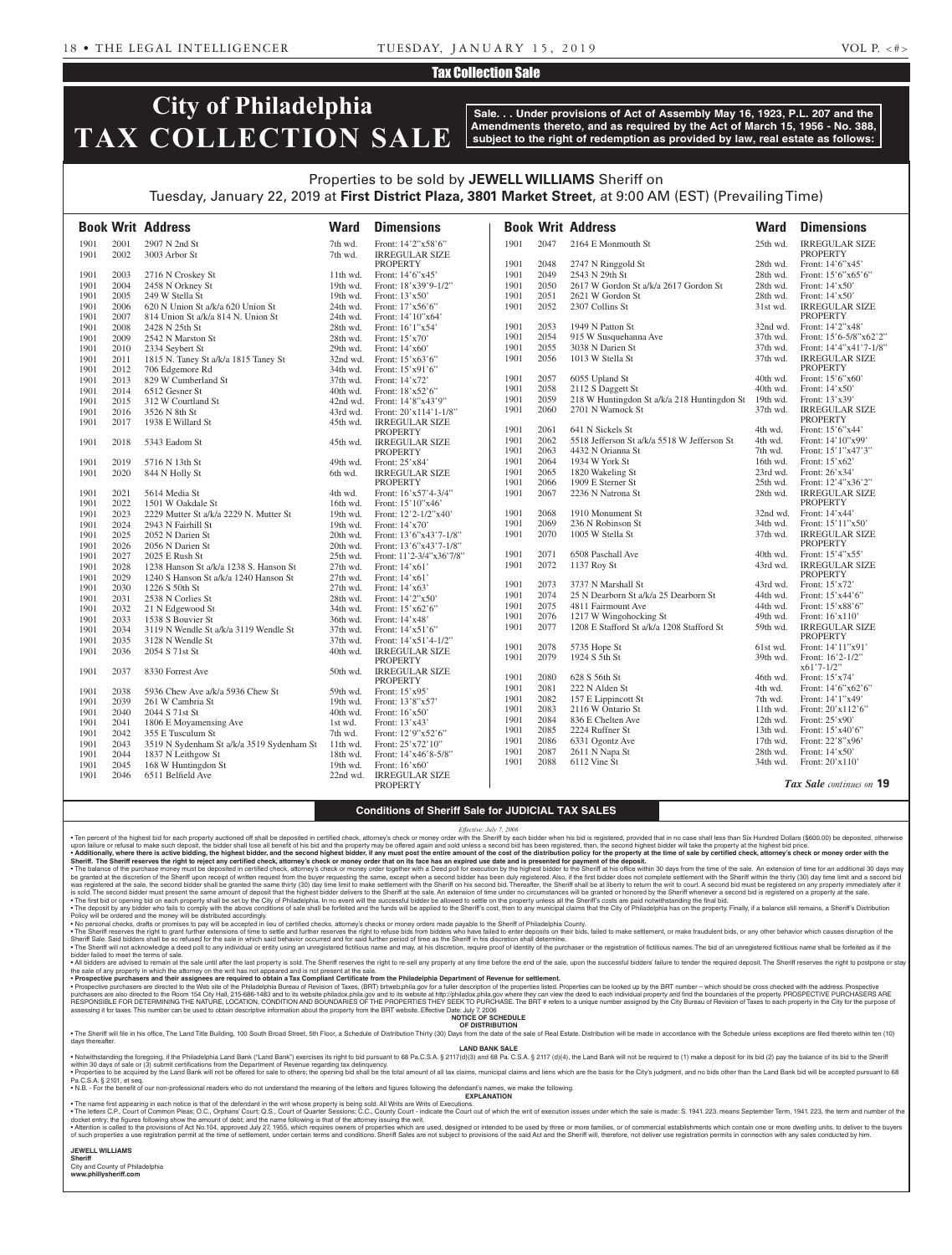### Tax Collection Sale

# **City of Philadelphia TAX COLLECTION SALE**

**Sale. . . Under provisions of Act of Assembly May 16, 1923, P.L. 207 and the Amendments thereto, and as required by the Act of March 15, 1956 - No. 388, subject to the right of redemption as provided by law, real estate as follows:**

## Properties to be sold by **JEWELL WILLIAMS** Sheriff on Tuesday, January 22, 2019 at **First District Plaza, 3801 Market Street**, at 9:00 AM (EST) (Prevailing Time)

|              |              | <b>Book Writ Address</b>                  | <b>Ward</b>          | <b>Dimensions</b>                        |      |              | <b>Book Writ Address</b>                    | <b>Ward</b> | <b>Dimensions</b>                                |
|--------------|--------------|-------------------------------------------|----------------------|------------------------------------------|------|--------------|---------------------------------------------|-------------|--------------------------------------------------|
| 1901         | 2001         | 2907 N 2nd St                             | 7th wd.              | Front: 14'2"x58'6"                       | 1901 | 2047         | 2164 E Monmouth St                          | 25th wd.    | <b>IRREGULAR SIZE</b>                            |
| 1901         | 2002         | 3003 Arbor St                             | 7th wd.              | <b>IRREGULAR SIZE</b>                    |      |              |                                             |             | <b>PROPERTY</b>                                  |
|              |              |                                           |                      | PROPERTY                                 | 1901 | 2048         | 2747 N Ringgold St                          | 28th wd.    | Front: 14'6"x45'                                 |
| 1901         | 2003         | 2716 N Croskey St                         | $11th$ wd.           | Front: 14'6"x45'                         | 1901 | 2049         | 2543 N 29th St                              | 28th wd.    | Front: $15^{\circ}6^{\circ}x65^{\circ}6^{\circ}$ |
| 1901         | 2004         | 2458 N Orkney St                          | $19th$ wd.           | Front: 18'x39'9-1/2"                     | 1901 | 2050         | 2617 W Gordon St a/k/a 2617 Gordon St       | 28th wd.    | Front: 14'x50'                                   |
| 1901         | 2005         | 249 W Stella St                           | 19th wd.             | Front: $13'x50'$                         | 1901 | 2051<br>2052 | 2621 W Gordon St                            | 28th wd.    | Front: 14'x50'                                   |
| 1901         | 2006         | 620 N Union St a/k/a 620 Union St         | 24th wd.             | Front: 17'x56'6"                         | 1901 |              | 2307 Collins St                             | $31st$ wd.  | <b>IRREGULAR SIZE</b><br><b>PROPERTY</b>         |
| 1901         | 2007         | 814 Union St a/k/a 814 N. Union St        | 24th wd.             | Front: 14'10"x64'                        | 1901 | 2053         | 1949 N Patton St                            | 32nd wd.    | Front: 14'2"x48'                                 |
| 1901         | 2008         | 2428 N 25th St                            | 28th wd.             | Front: 16'1"x54'                         | 1901 | 2054         | 915 W Susquehanna Ave                       | 37th wd.    | Front: 15'6-5/8"x62'2"                           |
| 1901<br>1901 | 2009<br>2010 | 2542 N Marston St                         | 28th wd.<br>29th wd. | Front: $15'x70'$<br>Front: 14'x60'       | 1901 | 2055         | 3038 N Darien St                            | 37th wd.    | Front: 14'4"x41'7-1/8"                           |
|              | 2011         | 2334 Seybert St                           |                      |                                          | 1901 | 2056         | 1013 W Stella St                            | 37th wd.    | <b>IRREGULAR SIZE</b>                            |
| 1901<br>1901 | 2012         | 1815 N. Taney St a/k/a 1815 Taney St      | 32nd wd.             | Front: $15'x63'6"$<br>Front: $15'x91'6"$ |      |              |                                             |             | <b>PROPERTY</b>                                  |
| 1901         | 2013         | 706 Edgemore Rd<br>829 W Cumberland St    | 34th wd.<br>37th wd. | Front: 14'x72'                           | 1901 | 2057         | 6055 Upland St                              | 40th wd.    | Front: $15^{\circ}6^{\prime\prime}x60^{\prime}$  |
| 1901         | 2014         | 6512 Gesner St                            | 40th wd.             | Front: 18'x52'6"                         | 1901 | 2058         | 2112 S Daggett St                           | 40th wd.    | Front: $14'x50'$                                 |
|              |              |                                           |                      |                                          | 1901 | 2059         | 218 W Huntingdon St a/k/a 218 Huntingdon St | $19th$ wd.  | Front: 13'x39'                                   |
| 1901         | 2015         | 312 W Courtland St                        | 42nd wd.             | Front: 14'8"x43'9"                       | 1901 | 2060         | 2701 N Warnock St                           | 37th wd.    | <b>IRREGULAR SIZE</b>                            |
| 1901         | 2016         | 3526 N 8th St                             | 43rd wd.             | Front: 20'x114'1-1/8"                    |      |              |                                             |             | <b>PROPERTY</b>                                  |
| 1901         | 2017         | 1938 E Willard St                         | 45th wd.             | <b>IRREGULAR SIZE</b><br><b>PROPERTY</b> | 1901 | 2061         | 641 N Sickels St                            | 4th wd.     | Front: 15'6"x44'                                 |
| 1901         | 2018         | 5343 Eadom St                             | 45th wd.             | <b>IRREGULAR SIZE</b>                    | 1901 | 2062         | 5518 Jefferson St a/k/a 5518 W Jefferson St | 4th wd.     | Front: 14'10"x99'                                |
|              |              |                                           |                      | <b>PROPERTY</b>                          | 1901 | 2063         | 4432 N Orianna St                           | 7th wd.     | Front: 15'1"x47'3"                               |
| 1901         | 2019         | 5716 N 13th St                            | 49th wd.             | Front: 25'x84'                           | 1901 | 2064         | 1934 W York St                              | 16th wd.    | Front: 15'x62'                                   |
| 1901         | 2020         | 844 N Holly St                            | 6th wd.              | <b>IRREGULAR SIZE</b>                    | 1901 | 2065         | 1820 Wakeling St                            | 23rd wd.    | Front: 26'x34'                                   |
|              |              |                                           |                      | <b>PROPERTY</b>                          | 1901 | 2066         | 1909 E Sterner St                           | 25th wd.    | Front: 12'4"x36'2"                               |
| 1901         | 2021         | 5614 Media St                             | 4th wd.              | Front: $16'x57'4-3/4"$                   | 1901 | 2067         | 2236 N Natrona St                           | 28th wd.    | <b>IRREGULAR SIZE</b>                            |
| 1901         | 2022         | 1501 W Oakdale St                         | 16th wd.             | Front: 15'10"x46"                        |      |              |                                             |             | <b>PROPERTY</b>                                  |
| 1901         | 2023         | 2229 Mutter St a/k/a 2229 N. Mutter St    | $19th$ wd.           | Front: 12'2-1/2"x40'                     | 1901 | 2068         | 1910 Monument St                            | 32nd wd.    | Front: 14'x44'                                   |
| 1901         | 2024         | 2943 N Fairhill St                        | 19th wd.             | Front: 14'x70'                           | 1901 | 2069         | 236 N Robinson St                           | 34th wd.    | Front: 15'11"x50'                                |
| 1901         | 2025         | 2052 N Darien St                          | 20th wd.             | Front: 13'6"x43'7-1/8"                   | 1901 | 2070         | 1005 W Stella St                            | 37th wd.    | <b>IRREGULAR SIZE</b>                            |
| 1901         | 2026         | 2056 N Darien St                          | 20th wd.             | Front: 13'6"x43'7-1/8"                   |      |              |                                             |             | <b>PROPERTY</b>                                  |
| 1901         | 2027         | 2025 E Rush St                            | 25th wd.             | Front: 11'2-3/4"x36'7/8"                 | 1901 | 2071         | 6508 Paschall Ave                           | 40th wd.    | Front: 15'4"x55'                                 |
| 1901         | 2028         | 1238 Hanson St a/k/a 1238 S. Hanson St    | 27th wd.             | Front: 14'x61'                           | 1901 | 2072         | 1137 Roy St                                 | 43rd wd.    | <b>IRREGULAR SIZE</b>                            |
| 1901         | 2029         | 1240 S Hanson St a/k/a 1240 Hanson St     | $27th$ wd.           | Front: 14'x61'                           |      |              |                                             |             | <b>PROPERTY</b>                                  |
| 1901         | 2030         | 1226 S 50th St                            | $27th$ wd.           | Front: $14'x63'$                         | 1901 | 2073         | 3737 N Marshall St                          | 43rd wd.    | Front: 15'x72'                                   |
| 1901         | 2031         | 2538 N Corlies St                         | 28th wd.             | Front: 14'2"x50"                         | 1901 | 2074         | 25 N Dearborn St a/k/a 25 Dearborn St       | 44th wd.    | Front: 15'x44'6"                                 |
| 1901         | 2032         | 21 N Edgewood St                          | 34th wd.             | Front: 15'x62'6"                         | 1901 | 2075         | 4811 Fairmount Ave                          | 44th wd.    | Front: 15'x88'6"                                 |
| 1901         | 2033         | 1538 S Bouvier St                         | 36th wd.             | Front: 14'x48'                           | 1901 | 2076         | 1217 W Wingohocking St                      | 49th wd.    | Front: 16'x110'                                  |
| 1901         | 2034         | 3119 N Wendle St a/k/a 3119 Wendle St     | 37th wd.             | Front: $14'x51'6''$                      | 1901 | 2077         | 1208 E Stafford St a/k/a 1208 Stafford St   | 59th wd.    | <b>IRREGULAR SIZE</b>                            |
| 1901         | 2035         | 3128 N Wendle St                          | 37th wd.             | Front: 14'x51'4-1/2"                     |      |              |                                             |             | <b>PROPERTY</b>                                  |
| 1901         | 2036         | 2054 S 71st St                            | 40th wd.             | <b>IRREGULAR SIZE</b>                    | 1901 | 2078         | 5735 Hope St                                | 61st wd.    | Front: 14'11"x91'                                |
|              |              |                                           |                      | <b>PROPERTY</b>                          | 1901 | 2079         | 1924 S 5th St                               | 39th wd.    | Front: $16'2-1/2"$                               |
| 1901         | 2037         | 8330 Forrest Ave                          | 50th wd.             | <b>IRREGULAR SIZE</b>                    |      |              |                                             |             | $x61'7-1/2''$                                    |
|              |              |                                           |                      | <b>PROPERTY</b>                          | 1901 | 2080         | 628 S 56th St                               | 46th wd.    | Front: 15'x74'                                   |
| 1901         | 2038         | 5936 Chew Ave a/k/a 5936 Chew St          | 59th wd.             | Front: 15'x95'                           | 1901 | 2081         | 222 N Alden St                              | 4th wd.     | Front: $14'6''x62'6''$                           |
| 1901         | 2039         | 261 W Cambria St                          | 19th wd.             | Front: 13'8"x57'                         | 1901 | 2082         | 157 E Lippincott St                         | 7th wd.     | Front: 14'1"x49'                                 |
| 1901         | 2040         | 2044 S 71st St                            | 40th wd.             | Front: $16'$ x50'                        | 1901 | 2083         | 2116 W Ontario St                           | $11th$ wd.  | Front: 20'x112'6"                                |
| 1901         | 2041         | 1806 E Moyamensing Ave                    | 1st wd.              | Front: 13'x43'                           | 1901 | 2084         | 836 E Chelten Ave                           | 12th wd.    | Front: 25'x90'                                   |
| 1901         | 2042         | 355 E Tusculum St                         | 7th wd.              | Front: 12'9"x52'6"                       | 1901 | 2085         | 2224 Ruffner St                             | 13th wd.    | Front: 15'x40'6"                                 |
| 1901         | 2043         | 3519 N Sydenham St a/k/a 3519 Sydenham St | 11th wd.             | Front: 25'x72'10"                        | 1901 | 2086         | 6331 Ogontz Ave                             | 17th wd.    | Front: 22'8"x96'                                 |
| 1901         | 2044         | 1837 N Leithgow St                        | 18th wd.             | Front: 14'x46'8-5/8"                     | 1901 | 2087         | 2611 N Napa St                              | 28th wd.    | Front: 14'x50'                                   |
| 1901         | 2045         | 168 W Huntingdon St                       | 19th wd.             | Front: $16'x60'$                         | 1901 | 2088         | 6112 Vine St                                | 34th wd.    | Front: 20'x110'                                  |
| 1901         | 2046         | 6511 Belfield Ave                         | 22nd wd.             | <b>IRREGULAR SIZE</b>                    |      |              |                                             |             |                                                  |
|              |              |                                           |                      | <b>PROPERTY</b>                          |      |              |                                             |             | Tax Sale continues on 19                         |

### **Conditions of Sheriff Sale for JUDICIAL TAX SALES**

Effective: July 7, 2006<br>Ten percent of the highest bid for each property auctioned off shall be deposited in certified check, attorney's check or money order with the Sheriff by each bidder when his bid is registered, prov upon failure or refusal to make such deposit, the bidder shall lose all benefit of his bid and the property may be offered again and sold unless a second bid has been registered, then, the second highest bidder will take t

be granted at the discretion of the Sheriff upon receipt of written request from the buyer requesting the same, except when a second bidder has been duly registered. Also, if the first bidder does not complete settlement w

• The deposit by any bidder who fails to comply with the above conditions of sale shall be forfeited and the funds will be applied to the Sheriff's cost, then to any municipal claims that the City of Philadelphia has on t

Sheriff Sale. Said bidders shall be so refused for the sale in which said behavior occurred and for said further period of time as the Sheriff in his discretion shall determine.

. The Sheriff will not acknowledge a deed poll to any individual or entity using an unregistered fictitious name and may, at his discretion, require proof of identity of the purchaser or the registration of fictitious name bidder failed to meet the terms of sale. . All bidders are advised to remain at the sale until after the last property is sold. The Sheriff reserves the right to re-sell any property at any time before the end of the sale, upon the successful bidders' failure to

the sale of any property in which the attorney on the writ has not appeared and is not present at the sale.<br>• Prospective purchasers and their assignees are required to obtain a Tax Compliant Certificate from the Philadel

purchasers are also directed to the Room 154 City Hall, 215-686-1483 and to its website philadox.phila.gov and to its website at http://philadox.phila.gov where they can view the deed to each individual property and find t assessing it for taxes. This number can be used to obtain descriptive information about the property from the BRT website. Effective Date: July 7, 2006 **NOTICE OF SCHEDULE**

**OF DISTRIBUTION**

. The Sheriff will file in his office, The Land Title Building, 100 South Broad Street, 5th Floor, a Schedule of Distribution Thirty (30) Days from the date of the sale of Real Estate. Distribution will be made in accordan days thereafter. **LAND BANK SALE**

• Notwithstanding the foregoing, if the Philadelphia Land Bank ("Land Bank") exercises its right to bid pursuant to 68 Pa.C.S.A. § 2117(d)(3) and 68 Pa.C.S.A. § 2117 (d)(4), the Land Bank will not be required to (1) make a

within 30 days of sale or (3) submit certifications from the Department of Revenue regarding tax delinquency.<br>• Properties to be acquired by the Land Bank will not be offered for sale to others; the opening bid shall be th C.S.A. § 2101, et seq. • N.B. - For the benefit of our non-professional readers who do not understand the meaning of the letters and figures following the defendant's names, we make the following.

**EXPLANATION** 

∙ The name first appearing in each notice is that of the defendant in the writ whose property is being sold. All Writs are Writs of Executions.<br>● The letters C.P., Court of Common Pleas; O.C., Orphans' Court; Q.S., Court of such properties a use registration permit at the time of settlement, under certain terms and conditions. Sheriff Sales are not subject to provisions of the said Act and the Sheriff will, therefore, not deliver use regis

#### **JEWELL WILLIAMS Sheriff**

City and County of Philadelphia

**www.phillysheriff.com**